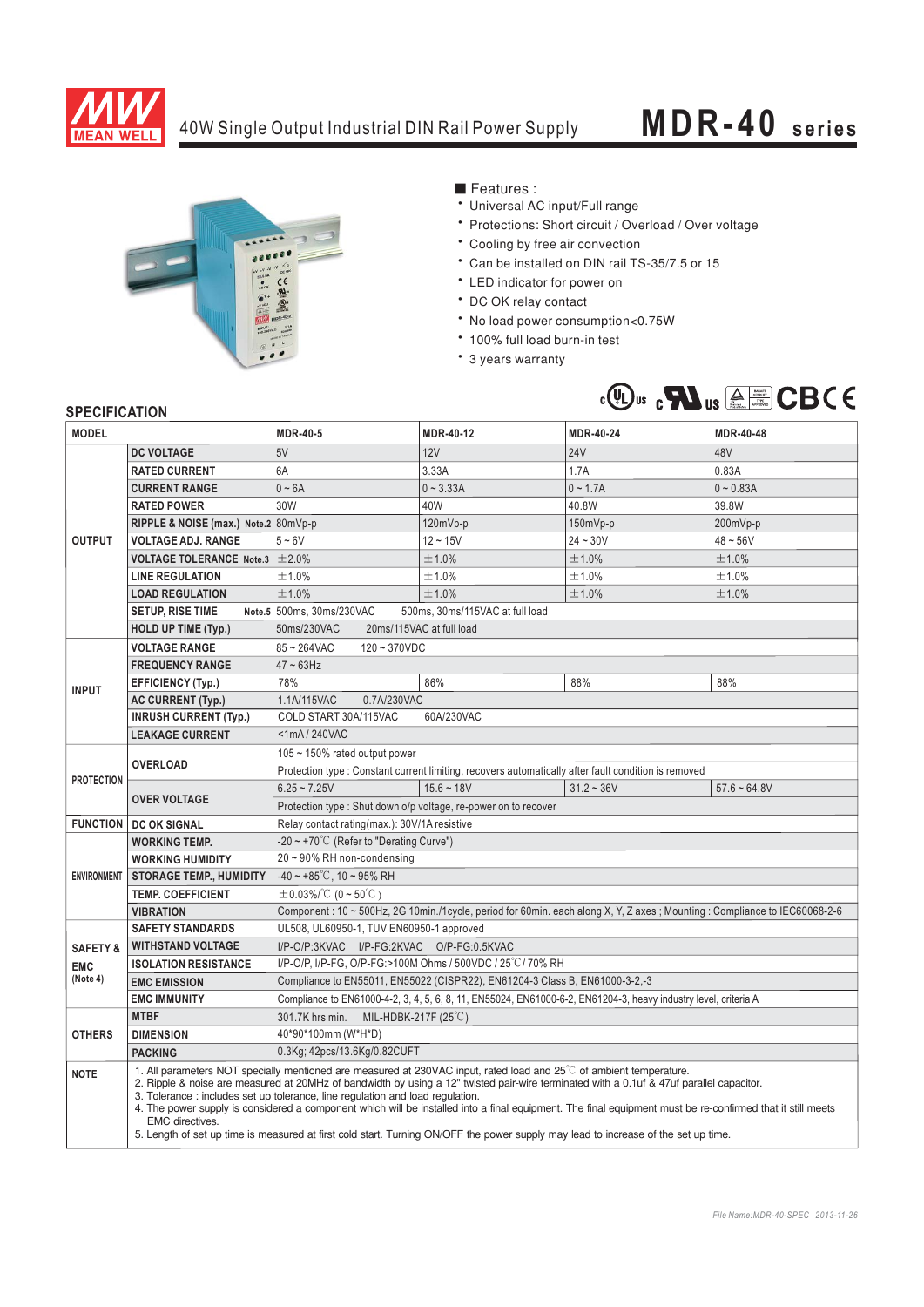

## 40W Single Output Industrial DIN Rail Power Supply **MDR-40 series**



■ Features :

- Universal AC input/Full range
- Protections: Short circuit / Overload / Over voltage
- \* Cooling by free air convection
- <sup>6</sup> Can be installed on DIN rail TS-35/7.5 or 15
- \* LED indicator for power on
- \* DC OK relay contact
- \* No load power consumption<0.75W
- 100% full load burn-in test
- \* 3 years warranty



## **CDECIEICATION**

| <b>SPEUIFIUAI IUN</b> |                                                                                                                                                                                                                                                                                                                                                                                                                                                                                                                                                                                                                                                                                 |                                                                                                                          |                                 |              |                |
|-----------------------|---------------------------------------------------------------------------------------------------------------------------------------------------------------------------------------------------------------------------------------------------------------------------------------------------------------------------------------------------------------------------------------------------------------------------------------------------------------------------------------------------------------------------------------------------------------------------------------------------------------------------------------------------------------------------------|--------------------------------------------------------------------------------------------------------------------------|---------------------------------|--------------|----------------|
| <b>MODEL</b>          |                                                                                                                                                                                                                                                                                                                                                                                                                                                                                                                                                                                                                                                                                 | <b>MDR-40-5</b>                                                                                                          | MDR-40-12                       | MDR-40-24    | MDR-40-48      |
| <b>OUTPUT</b>         | <b>DC VOLTAGE</b>                                                                                                                                                                                                                                                                                                                                                                                                                                                                                                                                                                                                                                                               | 5V                                                                                                                       | 12V                             | <b>24V</b>   | 48V            |
|                       | <b>RATED CURRENT</b>                                                                                                                                                                                                                                                                                                                                                                                                                                                                                                                                                                                                                                                            | 6A                                                                                                                       | 3.33A                           | 1.7A         | 0.83A          |
|                       | <b>CURRENT RANGE</b>                                                                                                                                                                                                                                                                                                                                                                                                                                                                                                                                                                                                                                                            | $0 - 6A$                                                                                                                 | $0 - 3.33A$                     | $0 - 1.7A$   | $0 - 0.83A$    |
|                       | <b>RATED POWER</b>                                                                                                                                                                                                                                                                                                                                                                                                                                                                                                                                                                                                                                                              | 30W                                                                                                                      | 40W                             | 40.8W        | 39.8W          |
|                       | RIPPLE & NOISE (max.) Note.2 80mVp-p                                                                                                                                                                                                                                                                                                                                                                                                                                                                                                                                                                                                                                            |                                                                                                                          | 120mVp-p                        | 150mVp-p     | 200mVp-p       |
|                       | <b>VOLTAGE ADJ. RANGE</b>                                                                                                                                                                                                                                                                                                                                                                                                                                                                                                                                                                                                                                                       | $5 - 6V$                                                                                                                 | $12 - 15V$                      | $24 - 30V$   | $48 - 56V$     |
|                       | <b>VOLTAGE TOLERANCE Note.3 <math>\pm</math> 2.0%</b>                                                                                                                                                                                                                                                                                                                                                                                                                                                                                                                                                                                                                           |                                                                                                                          | ±1.0%                           | ±1.0%        | ±1.0%          |
|                       | <b>LINE REGULATION</b>                                                                                                                                                                                                                                                                                                                                                                                                                                                                                                                                                                                                                                                          | ±1.0%                                                                                                                    | ±1.0%                           | ±1.0%        | ±1.0%          |
|                       | <b>LOAD REGULATION</b>                                                                                                                                                                                                                                                                                                                                                                                                                                                                                                                                                                                                                                                          | ±1.0%                                                                                                                    | ±1.0%                           | ±1.0%        | ±1.0%          |
|                       | <b>SETUP, RISE TIME</b>                                                                                                                                                                                                                                                                                                                                                                                                                                                                                                                                                                                                                                                         | Note.5 500ms, 30ms/230VAC                                                                                                | 500ms, 30ms/115VAC at full load |              |                |
|                       | <b>HOLD UP TIME (Typ.)</b>                                                                                                                                                                                                                                                                                                                                                                                                                                                                                                                                                                                                                                                      | 50ms/230VAC<br>20ms/115VAC at full load                                                                                  |                                 |              |                |
| <b>INPUT</b>          | <b>VOLTAGE RANGE</b>                                                                                                                                                                                                                                                                                                                                                                                                                                                                                                                                                                                                                                                            | $85 - 264$ VAC<br>$120 - 370$ VDC                                                                                        |                                 |              |                |
|                       | <b>FREQUENCY RANGE</b>                                                                                                                                                                                                                                                                                                                                                                                                                                                                                                                                                                                                                                                          | $47 \sim 63$ Hz                                                                                                          |                                 |              |                |
|                       | <b>EFFICIENCY (Typ.)</b>                                                                                                                                                                                                                                                                                                                                                                                                                                                                                                                                                                                                                                                        | 78%                                                                                                                      | 86%                             | 88%          | 88%            |
|                       | <b>AC CURRENT (Typ.)</b>                                                                                                                                                                                                                                                                                                                                                                                                                                                                                                                                                                                                                                                        | 1.1A/115VAC<br>0.7A/230VAC                                                                                               |                                 |              |                |
|                       | <b>INRUSH CURRENT (Typ.)</b>                                                                                                                                                                                                                                                                                                                                                                                                                                                                                                                                                                                                                                                    | COLD START 30A/115VAC<br>60A/230VAC                                                                                      |                                 |              |                |
|                       | <b>LEAKAGE CURRENT</b>                                                                                                                                                                                                                                                                                                                                                                                                                                                                                                                                                                                                                                                          | <1mA/240VAC                                                                                                              |                                 |              |                |
| <b>PROTECTION</b>     | <b>OVERLOAD</b>                                                                                                                                                                                                                                                                                                                                                                                                                                                                                                                                                                                                                                                                 | 105 $\sim$ 150% rated output power                                                                                       |                                 |              |                |
|                       |                                                                                                                                                                                                                                                                                                                                                                                                                                                                                                                                                                                                                                                                                 | Protection type : Constant current limiting, recovers automatically after fault condition is removed                     |                                 |              |                |
|                       | <b>OVER VOLTAGE</b>                                                                                                                                                                                                                                                                                                                                                                                                                                                                                                                                                                                                                                                             | $6.25 - 7.25V$                                                                                                           | $15.6 - 18V$                    | $31.2 - 36V$ | $57.6 - 64.8V$ |
|                       |                                                                                                                                                                                                                                                                                                                                                                                                                                                                                                                                                                                                                                                                                 | Protection type: Shut down o/p voltage, re-power on to recover                                                           |                                 |              |                |
|                       | <b>FUNCTION   DC OK SIGNAL</b>                                                                                                                                                                                                                                                                                                                                                                                                                                                                                                                                                                                                                                                  | Relay contact rating(max.): 30V/1A resistive                                                                             |                                 |              |                |
| <b>ENVIRONMENT</b>    | <b>WORKING TEMP.</b>                                                                                                                                                                                                                                                                                                                                                                                                                                                                                                                                                                                                                                                            | $-20 \sim +70^{\circ}$ (Refer to "Derating Curve")                                                                       |                                 |              |                |
|                       | <b>WORKING HUMIDITY</b>                                                                                                                                                                                                                                                                                                                                                                                                                                                                                                                                                                                                                                                         | 20~90% RH non-condensing                                                                                                 |                                 |              |                |
|                       | <b>STORAGE TEMP., HUMIDITY</b>                                                                                                                                                                                                                                                                                                                                                                                                                                                                                                                                                                                                                                                  | $-40 \sim +85^{\circ}$ C, 10 ~ 95% RH                                                                                    |                                 |              |                |
|                       | <b>TEMP. COEFFICIENT</b>                                                                                                                                                                                                                                                                                                                                                                                                                                                                                                                                                                                                                                                        | $\pm$ 0.03%/°C (0 ~ 50°C)                                                                                                |                                 |              |                |
|                       | <b>VIBRATION</b>                                                                                                                                                                                                                                                                                                                                                                                                                                                                                                                                                                                                                                                                | Component: 10 ~ 500Hz, 2G 10min./1cycle, period for 60min. each along X, Y, Z axes; Mounting: Compliance to IEC60068-2-6 |                                 |              |                |
|                       | <b>SAFETY STANDARDS</b>                                                                                                                                                                                                                                                                                                                                                                                                                                                                                                                                                                                                                                                         | UL508, UL60950-1, TUV EN60950-1 approved                                                                                 |                                 |              |                |
| <b>SAFETY &amp;</b>   | <b>WITHSTAND VOLTAGE</b>                                                                                                                                                                                                                                                                                                                                                                                                                                                                                                                                                                                                                                                        | I/P-O/P:3KVAC I/P-FG:2KVAC O/P-FG:0.5KVAC                                                                                |                                 |              |                |
| <b>EMC</b>            | I/P-O/P, I/P-FG, O/P-FG:>100M Ohms / 500VDC / 25°C / 70% RH<br><b>ISOLATION RESISTANCE</b>                                                                                                                                                                                                                                                                                                                                                                                                                                                                                                                                                                                      |                                                                                                                          |                                 |              |                |
| (Note 4)              | <b>EMC EMISSION</b>                                                                                                                                                                                                                                                                                                                                                                                                                                                                                                                                                                                                                                                             | Compliance to EN55011, EN55022 (CISPR22), EN61204-3 Class B, EN61000-3-2,-3                                              |                                 |              |                |
|                       | Compliance to EN61000-4-2, 3, 4, 5, 6, 8, 11, EN55024, EN61000-6-2, EN61204-3, heavy industry level, criteria A<br><b>EMC IMMUNITY</b>                                                                                                                                                                                                                                                                                                                                                                                                                                                                                                                                          |                                                                                                                          |                                 |              |                |
| <b>OTHERS</b>         | <b>MTBF</b>                                                                                                                                                                                                                                                                                                                                                                                                                                                                                                                                                                                                                                                                     | 301.7K hrs min. MIL-HDBK-217F (25°C)                                                                                     |                                 |              |                |
|                       | <b>DIMENSION</b>                                                                                                                                                                                                                                                                                                                                                                                                                                                                                                                                                                                                                                                                | 40*90*100mm (W*H*D)                                                                                                      |                                 |              |                |
|                       | <b>PACKING</b>                                                                                                                                                                                                                                                                                                                                                                                                                                                                                                                                                                                                                                                                  | 0.3Kg; 42pcs/13.6Kg/0.82CUFT                                                                                             |                                 |              |                |
| <b>NOTE</b>           | 1. All parameters NOT specially mentioned are measured at 230VAC input, rated load and 25°C of ambient temperature.<br>2. Ripple & noise are measured at 20MHz of bandwidth by using a 12" twisted pair-wire terminated with a 0.1uf & 47uf parallel capacitor.<br>3. Tolerance : includes set up tolerance, line regulation and load regulation.<br>4. The power supply is considered a component which will be installed into a final equipment. The final equipment must be re-confirmed that it still meets<br><b>EMC</b> directives.<br>5. Length of set up time is measured at first cold start. Turning ON/OFF the power supply may lead to increase of the set up time. |                                                                                                                          |                                 |              |                |